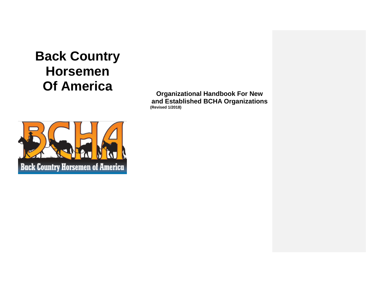# **Back Country Horsemen Of America**

**Organizational Handbook For New and Established BCHA Organizations (Revised 1/2018)**

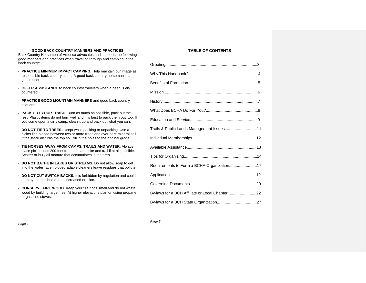# **GOOD BACK COUNTRY MANNERS AND PRACTICES**

Back Country Horsemen of America advocates and supports the following good manners and practices when traveling through and camping in the back country:

- **PRACTICE MINIMUM IMPACT CAMPING.** Help maintain our image as responsible back country users. A good back country horseman is a gentle user.
- **OFFER ASSISTANCE** to back country travelers when a need is encountered.
- **PRACTICE GOOD MOUNTAIN MANNERS** and good back country etiquette.
- **PACK OUT YOUR TRASH.** Burn as much as possible, pack out the rest. Plastic items do not burn well and it is best to pack them out, too. If you come upon a dirty camp, clean it up and pack out what you can.
- **DO NOT TIE TO TREES** except while packing or unpacking. Use a picket line placed between two or more trees and over bare mineral soil. If the stock disturbs the top soil, fill in the holes to the original grade.
- **TIE HORSES AWAY FROM CAMPS, TRAILS AND WATER.** Always place picket lines 200 feet from the camp site and trail if at all possible. Scatter or bury all manure that accumulates in the area.
- **DO NOT BATHE IN LAKES OR STREAMS.** Do not allow soap to get into the water. Even biodegradable cleaners leave residues that pollute.
- **DO NOT CUT SWITCH BACKS.** It is forbidden by regulation and could destroy the trail bed due to increased erosion.
- **CONSERVE FIRE WOOD.** Keep your fire rings small and do not waste wood by building large fires. At higher elevations plan on using propane or gasoline stoves.

# **TABLE OF CONTENTS**

| Trails & Public Lands Management Issues11      |
|------------------------------------------------|
|                                                |
|                                                |
|                                                |
| Requirements to Form a BCHA Organization17     |
|                                                |
|                                                |
| By-laws for a BCH Affiliate or Local Chapter22 |
|                                                |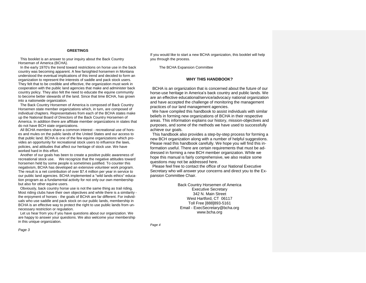# **GREETINGS**

 This booklet is an answer to your inquiry about the Back Country Horseman of America (BCHA).

 In the early 1970's the trend toward restrictions on horse use in the back country was becoming apparent. A few farsighted horsemen in Montana understood the eventual implications of this trend and decided to form an organization to represent the interests of saddle and pack stock users. They felt that to be credible and effective, the organization must work in cooperation with the public land agencies that make and administer back country policy. They also felt the need to educate the equine community to become better stewards of the land. Since that time BCHA, has grown into a nationwide organization.

 The Back Country Horsemen of America is composed of Back Country Horsemen state member organizations which, in turn, are composed of individual chapters. Representatives from each of the BCHA states make up the National Board of Directors of the Back Country Horsemen of America. In addition there are affiliate member organizations in states that do not have BCH state organizations.

 All BCHA members share a common interest - recreational use of horses and mules on the public lands of the United States and our access to that public land. BCHA is one of the few equine organizations which provides an opportunity for recreational stock users to influence the laws, policies, and attitudes that affect our heritage of stock use. We have worked hard in this effort.

 Another of our goals has been to create a positive public awareness of recreational stock use. We recognize that the negative attitudes toward horsemen held by some people is sometimes justified. To counter this negativism, BCHA has developed an extensive volunteer work program. The result is a net contribution of over \$7.4 million per year in service to our public land agencies. BCHA implemented a "wild lands ethics" education program as a fundamental activity for not only our own membership but also for other equine users.

 Obviously, back country horse use is not the same thing as trail riding. Most riding clubs have their own objectives and while there is a similarity the enjoyment of horses - the goals of BCHA are far different. For individuals who use saddle and pack stock on our public lands, membership in BCHA is an effective way to protect the right to use public lands from unnecessary restriction or regulation.

Let us hear from you if you have questions about our organization. We are happy to answer your questions. We also welcome your membership in this unique organization.

If you would like to start a new BCHA organization, this booklet will help you through the process.

The BCHA Expansion Committee

#### **WHY THIS HANDBOOK?**

 BCHA is an organization that is concerned about the future of our horse-use heritage in America's back country and public lands. We are an effective educational/service/advocacy national organization and have accepted the challenge of monitoring the management practices of our land management agencies.

 We have compiled this handbook to assist individuals with similar beliefs in forming new organizations of BCHA in their respective areas. This information explains our history, mission-objectives and purposes, and some of the methods we have used to successfully achieve our goals.

 This handbook also provides a step-by-step process for forming a new BCH organization along with a number of helpful suggestions. Please read this handbook carefully. We hope you will find this information useful. There are certain requirements that must be addressed in forming a new BCH member organization. While we hope this manual is fairly comprehensive, we also realize some questions may not be addressed here.

 Please feel free to contact the office of our National Executive Secretary who will answer your concerns and direct you to the Expansion Committee Chair.

> Back Country Horsemen of America Executive Secretary 342 N. Main Street West Hartford, CT 06117 Toll Free [888]893-5161 Email - ExecSecretary@bcha.org www.bcha.org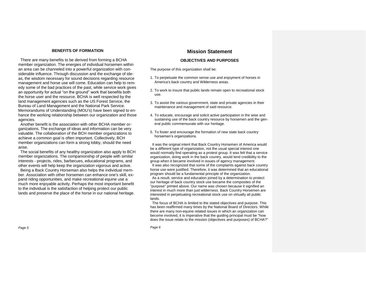#### **BENEFITS OF FORMATION**

There are many benefits to be derived from forming a BCHA member organization. The energies of individual horsemen within an area can be channeled into a powerful organization with considerable influence. Through discussion and the exchange of ideas, the wisdom necessary for sound decisions regarding resource management and horse use will come. Education can help to remedy some of the bad practices of the past, while service work gives an opportunity for actual "on the ground" work that benefits both the horse user and the resource. BCHA is well respected by the land management agencies such as the US Forest Service, the Bureau of Land Management and the National Park Service. Memorandums of Understanding (MOU's) have been signed to enhance the working relationship between our organization and those agencies.

 Another benefit is the association with other BCHA member organizations. The exchange of ideas and information can be very valuable. The collaboration of the BCH member organizations to achieve a common goal is often important. Collectively, BCH member organizations can form a strong lobby, should the need arise.

 The social benefits of any healthy organization also apply to BCH member organizations. The companionship of people with similar interests - projects, rides, barbecues, educational programs, and other events will help keep the organization vigorous and active.

 Being a Back Country Horseman also helps the individual member. Association with other horsemen can enhance one's skill, expand riding opportunities, and make recreational equine use a much more enjoyable activity. Perhaps the most important benefit to the individual is the satisfaction of helping protect our public lands and preserve the place of the horse in our national heritage.

# **Mission Statement**

# **OBJECTIVES AND PURPOSES**

The purpose of this organization shall be:

- 1. To perpetuate the common sense use and enjoyment of horses in America's back country and Wilderness areas.
- 2. To work to insure that public lands remain open to recreational stock use.
- 3. To assist the various government, state and private agencies in their maintenance and management of said resource.
- 4. To educate, encourage and solicit active participation in the wise and sustaining use of the back country resource by horsemen and the general public commensurate with our heritage.
- 5. To foster and encourage the formation of new state back country horsemen's organizations.

 It was the original intent that Back Country Horsemen of America would be a different type of organization, not the usual special interest one would normally find operating as a protest group. It was felt that a service organization, doing work in the back country, would lend credibility to the group when it became involved in issues of agency management. It was also recognized that some of the complaints against back country horse use were justified. Therefore, it was determined that an educational program should be a fundamental principle of the organization. As a result, service and education joined by a determination to protect our heritage of back country stock use became the composites of the "purpose" printed above. Our name was chosen because it signified an interest in much more than just wilderness. Back Country Horsemen are interested in perpetuating recreational stock use on virtually all public lands.

 The focus of BCHA is limited to the stated objectives and purpose. This has been reaffirmed many times by the National Board of Directors. While there are many non-equine related issues in which an organization can become involved, it is imperative that the guiding principal must be "how does the issue relate to the mission (objectives and purposes) of BCHA?"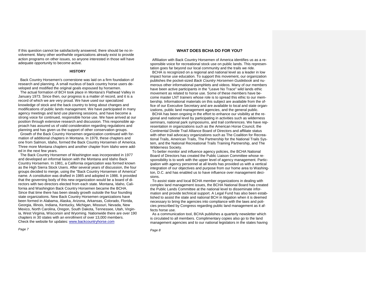If this question cannot be satisfactorily answered, there should be no involvement. Many other worthwhile organizations already exist to provide action programs on other issues, so anyone interested in those will have adequate opportunity to become active.

#### **HISTORY**

 Back Country Horsemen's cornerstone was laid on a firm foundation of research and planning. A small nucleus of back country horse users developed and modified the original goals espoused by horsemen.

 The actual formation of BCH took place in Montana's Flathead Valley in January 1973. Since then, our progress is a matter of record, and it is a record of which we are very proud. We have used our specialized knowledge of stock and the back country to bring about changes and modifications of public lands management. We have participated in many agency meetings and land use planning sessions, and have become a strong voice for continued, responsible horse use. We have arrived at our position through extensive research and discussion. This responsible approach has assured us of valid consideration regarding regulations and planning and has given us the support of other conservation groups.

 Growth of the Back Country Horsemen organization continued with formation of additional chapters in Montana. In 1979, these chapters and one from Salmon, Idaho, formed the Back Country Horsemen of America. Three more Montana chapters and another chapter from Idaho were added in the next few years.

 The Back Country Horsemen of Washington was incorporated in 1977 and developed an informal liaison with the Montana and Idaho Back Country Horsemen. In 1981, a California organization was formed known as the High Sierra Stock Users. After several years of discussion, the four groups decided to merge, using the "Back Country Horsemen of America" name. A constitution was drafted in 1985 and adopted in 1986. It provided that the governing body of this new organization would be a board of directors with two directors elected from each state. Montana, Idaho, California and Washington Back Country Horsemen became the BCHA. Since that time there has been steady growth outside the four founding state organizations. New Back Country Horsemen organizations have been formed in Alabama, Alaska, Arizona, Arkansas, Colorado, Florida, Georgia, Illinois, Indiana, Kentucky, Michigan, Missouri, Nevada, New Mexico, North Carolina, Oregon, South Dakota, Tennessee, Utah, Virginia, West Virginia, Wisconsin and Wyoming. Nationwide there are over 190 chapters in 30 states with an enrollment of over 13,000 members. Check the website for updates: [www.backcountryhorse.com](http://www.backcountryhorse.com/)

#### **WHAT DOES BCHA DO FOR YOU?**

Affiliation with Back Country Horsemen of America identifies us as a responsible voice for recreational stock use on public lands. This representation goes far beyond our local community and the trails we ride.

 BCHA is recognized on a regional and national level as a leader in low impact horse use education. To support this movement, our organization publishes the pocket-sized *Back Country Horsemen Guidebook* and numerous other informational pamphlets and videos. Many of our members have been active participants in the "Leave No Trace" wild lands ethic movement as related to horse use. Some of these members have become master LNT trainers whose role is to spread this ethic to our membership. Informational materials on this subject are available from the office of our Executive Secretary and are available to local and state organizations, public land management agencies, and the general public.

 BCHA has been ongoing in the effort to enhance our visibility at the regional and national level by participating in activities such as wilderness seminars, national park symposiums, and trail conferences. We have representation in organizations such as the American Horse Council, the Continental Divide Trail Alliance Board of Directors and affiliate status with other trail advocacy organizations such as The Coalition for Recreational Trails, American Trails, The Partnership for the National Trails System, and the National Recreational Trails Training Partnership, and The Wilderness Society.

 To better monitor and influence agency policies, the BCHA National Board of Directors has created the Public Liaison Committee whose responsibility is to work with the upper level of agency management. Participation with agency personnel at all levels has provided us with a vertical integration of our objectives and purpose from our home area to Washington, D.C. and has enabled us to have influence over management decisions.

To assist state and local BCHA member organizations in dealing with complex land management issues, the BCHA National Board has created the Public Lands Committee at the national level to disseminate information and provide technical support. A Legal Fund has also been established to assist the state and national BCH in litigation when it is deemed necessary to bring the agencies into compliance with the laws and policies prescribed by Congress regarding public land management as it affects horse use.

 As a communication tool, BCHA publishes a quarterly newsletter which is circulated to all members. Complimentary copies also go to the land management agencies and to our national legislators in the states having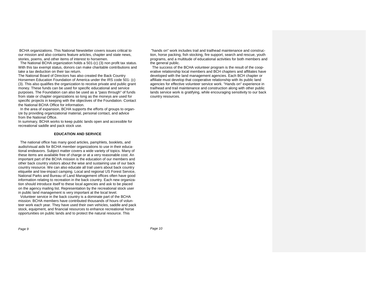BCHA organizations. This National Newsletter covers issues critical to our mission and also contains feature articles, chapter and state news, stories, poems, and other items of interest to horsemen.

 The National BCHA organization holds a 501-(c) (3) non profit tax status. With this tax exempt status, donors can make charitable contributions and take a tax deduction on their tax return.

The National Board of Directors has also created the Back Country Horsemen Education Foundation of America under the IRS code 501- (c) (3). This also qualifies the organization to receive private and public grant money. These funds can be used for specific educational and service purposes. The Foundation can also be used as a "pass through" of funds from state or chapter organizations so long as the moneys are used for specific projects in keeping with the objectives of the Foundation. Contact the National BCHA Office for information.

 In the area of expansion, BCHA supports the efforts of groups to organize by providing organizational material, personal contact, and advice from the National Office.

In summary, BCHA works to keep public lands open and accessible for recreational saddle and pack stock use.

#### **EDUCATION AND SERVICE**

The national office has many good articles, pamphlets, booklets, and audio/visual aids for BCHA member organizations to use in their educational endeavors. Subject matter covers a wide variety of topics. Many of these items are available free of charge or at a very reasonable cost. An important part of the BCHA mission is the education of our members and other back country visitors about the wise and sustaining use of our back country resource. We can also educate all trail users about back country etiquette and low-impact camping. Local and regional US Forest Service, National Parks and Bureau of Land Management offices often have good information relating to recreation in the back country. Each new organization should introduce itself to these local agencies and ask to be placed on the agency mailing list. Representation by the recreational stock user in public land management is very important at the local level.

 Volunteer service in the back country is a dominate part of the BCHA mission. BCHA members have contributed thousands of hours of volunteer work each year. They have used their own vehicles, saddle and pack stock, equipment, and financial resources to enhance recreational horse opportunities on public lands and to protect the natural resource. This

"hands on" work includes trail and trailhead maintenance and construction, horse packing, fish stocking, fire support, search and rescue, youth programs, and a multitude of educational activities for both members and the general public.

 The success of the BCHA volunteer program is the result of the cooperative relationship local members and BCH chapters and affiliates have developed with the land management agencies. Each BCH chapter or affiliate must develop that cooperative relationship with its public land agencies for effective volunteer service work. "Hands on" experience in trailhead and trail maintenance and construction along with other public lands service work is gratifying, while encouraging sensitivity to our back country resources.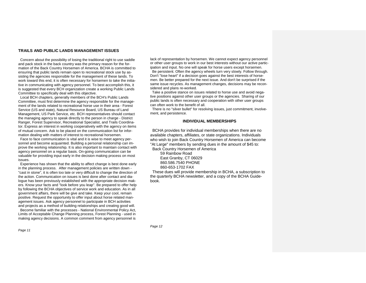#### **TRAILS AND PUBLIC LANDS MANAGEMENT ISSUES**

Concern about the possibility of losing the traditional right to use saddle and pack stock in the back country was the primary reason for the formation of the Back Country Horsemen of America. BCHA is committed to ensuring that public lands remain open to recreational stock use by assisting the agencies responsible for the management of these lands. To work toward this end, it is often necessary for horsemen to take the initiative in communicating with agency personnel. To best accomplish this, it is suggested that every BCH organization create a working Public Lands Committee to specifically deal with this objective.

 Local BCH chapters, generally members of the BCH's Public Lands Committee, must first determine the agency responsible for the management of the lands related to recreational horse use in their area - Forest Service (US and state), Natural Resource Board, US Bureau of Land Management, US Park Service, etc. BCH representatives should contact the managing agency to speak directly to the person in charge - District Ranger, Forest Supervisor, Recreational Specialist, and Trails Coordinator. Express an interest in working cooperatively with the agency on items of mutual concern. Ask to be placed on the communication list for information dealing with matters of interest to recreational horsemen.

 Face to face communication is vital and it is wise to meet agency personnel and become acquainted. Building a personal relationship can improve the working relationship. It is also important to maintain contact with agency personnel on a regular basis. On-going communication can be valuable for providing input early in the decision making process on most issues.

 Experience has shown that the ability to affect change is best done early in the planning process. After management policies are written down - "cast in stone", it is often too late or very difficult to change the direction of the action. Communication on issues is best done after contact and dialogue has been previously established with the appropriate decision makers. Know your facts and "look before you leap". Be prepared to offer help by following the BCHA objectives of service work and education. As in all government affairs, there will be give and take. Keep your cool, remain positive. Request the opportunity to offer input about horse related management issues. Ask agency personnel to participate in BCH activities and projects as a method of building relationships and creating good will.

 Become familiar with the processes - National Environmental Policy Act, Limits of Acceptable Change Planning process, Forest Planning - used in making agency decisions. A common comment from agency personnel is

*Page 11*

lack of representation by horsemen. We cannot expect agency personnel or other user groups to work in our best interests without our active participation and input. No one will speak for horse users except horsemen. Be persistent. Often the agency wheels turn very slowly. Follow through.

Don't "lose heart" if a decision goes against the best interests of horsemen. Be better prepared for the next issue. And don't be surprised if the same issue recycles. As management changes, decisions may be reconsidered and plans re-worked.

 Take a positive stance on issues related to horse use and avoid negative positions against other user groups or the agencies. Sharing of our public lands is often necessary and cooperation with other user groups can often work to the benefit of all.

 There is no "silver bullet" for resolving issues, just commitment, involvement, and persistence.

# **INDIVIDUAL MEMBERSHIPS**

BCHA provides for individual memberships when there are no available chapters, affiliates, or state organizations. Individuals who wish to join Back Country Horsemen of America can become "At Large" members by sending dues in the amount of \$45 to:

 Back Country Horsemen of America 59 Rainbow Road East Granby, CT 06029

860.586.7540 PHONE

860-653-1702 FAX

 These dues will provide membership in BCHA, a subscription to the quarterly BCHA newsletter, and a copy of the BCHA Guidebook.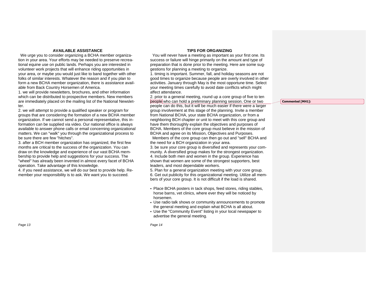# **AVAILABLE ASSISTANCE**

We urge you to consider organizing a BCHA member organization in your area. Your efforts may be needed to preserve recreational equine use on public lands. Perhaps you are interested in volunteer work projects that will enhance riding opportunities in your area, or maybe you would just like to band together with other folks of similar interests. Whatever the reason and if you plan to form a new BCHA member organization, there is assistance available from Back Country Horsemen of America.

1. we will provide newsletters, brochures, and other information which can be distributed to prospective members. New members are immediately placed on the mailing list of the National Newsletter.

2. we will attempt to provide a qualified speaker or program for groups that are considering the formation of a new BCHA member organization. If we cannot send a personal representative, this information can be supplied via video. Our national office is always available to answer phone calls or email concerning organizational matters. We can "walk" you through the organizational process to be sure there are few "hitches".

3. after a BCH member organization has organized, the first few months are critical to the success of the organization. You can draw on the knowledge and experience of our vast BCHA membership to provide help and suggestions for your success. The "wheel" has already been invented in almost every facet of BCHA operation. Take advantage of this knowledge.

4. if you need assistance, we will do our best to provide help. Remember your responsibility is to ask. We want you to succeed.

# **TIPS FOR ORGANIZING**

You will never have a meeting as important as your first one. Its success or failure will hinge primarily on the amount and type of preparation that is done prior to the meeting. Here are some suggestions for planning a meeting to organize.

1. timing is important. Summer, fall, and holiday seasons are not good times to organize because people are overly involved in other activities. January through May is the most opportune time. Select your meeting times carefully to avoid date conflicts which might affect attendance.

2. prior to a general meeting, round up a core group of five to ten people who can hold a preliminary planning session. One or two people can do this, but it will be much easier if there were a larger group involvement at this stage of the planning. Invite a member from National BCHA, your state BCHA organization, or from a neighboring BCH chapter or unit to meet with this core group and have them thoroughly explain the objectives and purposes of BCHA. Members of the core group must believe in the mission of BCHA and agree on its Mission, Objectives and Purposes.

 Members of the core group can then go out and "sell" BCHA and the need for a BCH organization in your area.

3. be sure your core group is diversified and represents your community. A diversified group makes for the strongest organization. 4. Include both men and women in the group. Experience has shown that women are some of the strongest supporters, best leaders, and most dependable workers.

5. Plan for a general organization meeting with your core group. 6. Get out publicity for this organizational meeting. Utilize all members of your core group. It is not difficult if the load is shared.

- Place BCHA posters in tack shops, feed stores, riding stables, horse barns, vet clinics, where ever they will be noticed by horsemen.
- Use radio talk shows or community announcements to promote the general meeting and explain what BCHA is all about.
- Use the "Community Event" listing in your local newspaper to advertise the general meeting.

*Page 14*

#### **Commented [MH1]:**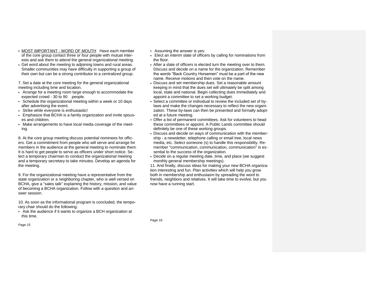- MOST IMPORTANT WORD OF MOUTH Have each member of the core group contact three or four people with mutual interests and ask them to attend the general organizational meeting.
- Get word about the meeting to adjoining towns and rural areas. Smaller communities may have difficulty in supporting a group of their own but can be a strong contributor to a centralized group.

7. Set a date at the core meeting for the general organizational meeting including time and location.

- Arrange for a meeting room large enough to accommodate the expected crowd - 30 to 90 people.
- Schedule the organizational meeting within a week or 10 days after advertising the event.
- Strike while everyone is enthusiastic!
- Emphasize that BCHA is a family organization and invite spouses and children.
- Make arrangements to have local media coverage of the meeting.

8. At the core group meeting discuss potential nominees for officers. Get a commitment from people who will serve and arrange for members in the audience at the general meeting to nominate them. It is hard to get people to serve as officers under short notice. Select a temporary chairman to conduct the organizational meeting and a temporary secretary to take minutes. Develop an agenda for the meeting.

9. For the organizational meeting have a representative from the state organization or a neighboring chapter, who is well versed on BCHA, give a "sales talk" explaining the history, mission, and value of becoming a BCHA organization. Follow with a question and answer session.

10. As soon as the informational program is concluded, the temporary chair should do the following:

- Ask the audience if it wants to organize a BCH organization at this time.
- *Page 15*
- Assuming the answer is yes:
- Elect an interim slate of officers by calling for nominations from the floor.
- After a slate of officers is elected turn the meeting over to them. Discuss and decide on a name for the organization. Remember the words "Back Country Horsemen" must be a part of the new name. Receive motions and then vote on the name.
- Discuss and set membership dues. Set a reasonable amount keeping in mind that the dues set will ultimately be split among local, state and national. Begin collecting dues immediately and appoint a committee to set a working budget.
- Select a committee or individual to review the included set of bylaws and make the changes necessary to reflect the new organization. These by-laws can then be presented and formally adopted at a future meeting.
- Offer a list of permanent committees. Ask for volunteers to head these committees or appoint. A Public Lands committee should definitely be one of these working groups.
- Discuss and decide on ways of communication with the membership - a newsletter, telephone calling or email tree, local news media, etc. Select someone (s) to handle this responsibility. Remember "communication, communication, communication" is essential to the success of the organization.
- Decide on a regular meeting date, time, and place (we suggest monthly general membership meetings).

11. And finally, discuss ideas for making your new BCHA organization interesting and fun. Plan activities which will help you grow both in membership and enthusiasm by spreading the word to friends, neighbors and relatives. It will take time to evolve, but you now have a running start.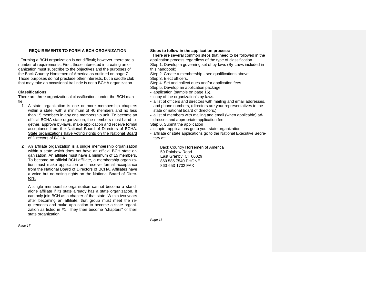# **REQUIREMENTS TO FORM A BCH ORGANIZATION**

Forming a BCH organization is not difficult; however, there are a number of requirements. First, those interested in creating an organization must subscribe to the objectives and the purposes of the Back Country Horsemen of America as outlined on page 7. Those purposes do not preclude other interests, but a saddle club that may take an occasional trail ride is not a BCHA organization.

# **Classifications:**

There are three organizational classifications under the BCH mantle.

- 1. A state organization is one or more membership chapters within a state, with a minimum of 40 members and no less than 15 members in any one membership unit. To become an official BCHA state organization, the members must band together, approve by-laws, make application and receive formal acceptance from the National Board of Directors of BCHA. State organizations have voting rights on the National Board of Directors of BCHA.
- **2** An affiliate organization is a single membership organization within a state which does not have an official BCH state organization. An affiliate must have a minimum of 15 members. To become an official BCH affiliate, a membership organization must make application and receive formal acceptance from the National Board of Directors of BCHA. Affiliates have a voice but no voting rights on the National Board of Directors.

A single membership organization cannot become a standalone affiliate if its state already has a state organization. It can only join BCH as a chapter of that state. Within two years after becoming an affiliate, that group must meet the requirements and make application to become a state organization as listed in #1. They then become "chapters" of their state organization.

#### **Steps to follow in the application process:**

There are several common steps that need to be followed in the application process regardless of the type of classification. Step 1. Develop a governing set of by-laws (By-Laws included in this handbook).

Step 2. Create a membership - see qualifications above.

Step 3. Elect officers.

- Step 4. Set and collect dues and/or application fees.
- Step 5. Develop an application package.
- application (sample on page 16).
- copy of the organization's by-laws.
- a list of officers and directors with mailing and email addresses, and phone numbers, (directors are your representatives to the state or national board of directors.).
- a list of members with mailing and email (when applicable) addresses and appropriate application fee.

Step 6. Submit the application

- chapter applications go to your state organization
- affiliate or state applications go to the National Executive Secretary at:

 Back Country Horsemen of America 59 Rainbow Road East Granby, CT 06029 860.586.7540 PHONE 860-653-1702 FAX

*Page 17*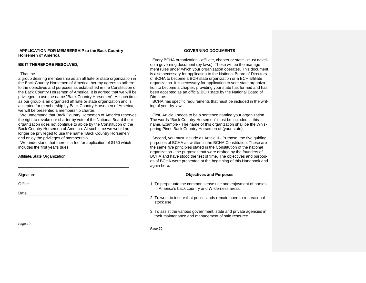#### **APPLICATION FOR MEMBERSHIP to the Back Country Horsemen of America**

# **BE IT THEREFORE RESOLVED,**

#### That the\_\_\_\_\_\_\_\_\_\_\_\_\_\_\_\_\_\_\_\_\_\_\_\_\_\_\_\_\_\_\_\_\_\_\_\_\_\_\_\_\_\_\_\_\_,

a group desiring membership as an affiliate or state organization in the Back Country Horsemen of America, hereby agrees to adhere to the objectives and purposes as established in the Constitution of the Back Country Horsemen of America. It is agreed that we will be privileged to use the name "Back Country Horsemen". At such time as our group is an organized affiliate or state organization and is accepted for membership by Back Country Horsemen of America, we will be presented a membership charter.

 We understand that Back Country Horsemen of America reserves the right to revoke our charter by vote of the National Board if our organization does not continue to abide by the Constitution of the Back Country Horsemen of America. At such time we would no longer be privileged to use the name "Back Country Horsemen" and enjoy the privileges of membership.

 We understand that there is a fee for application of \$150 which includes the first year's dues.

\_\_\_\_\_\_\_\_\_\_\_\_\_\_\_\_\_\_\_\_\_\_\_\_\_\_\_\_\_\_\_\_\_\_\_\_\_\_\_\_\_\_\_\_\_\_\_\_\_\_

Affiliate/State Organization

Signature\_\_\_\_\_\_\_\_\_\_\_\_\_\_\_\_\_\_\_\_\_\_\_\_\_\_\_\_\_\_\_\_\_\_\_\_\_\_\_\_

Office

Date

# **GOVERNING DOCUMENTS**

Every BCHA organization - affiliate, chapter or state - must develop a governing document (by-laws). These will be the management rules under which your organization operates. This document is also necessary for application to the National Board of Directors of BCHA to become a BCH state organization or a BCH affiliate organization. It is necessary for application to your state organization to become a chapter, providing your state has formed and has been accepted as an official BCH state by the National Board of Directors.

 BCHA has specific requirements that must be included in the writing of your by-laws.

 First, Article I needs to be a sentence naming your organization. The words "Back Country Horsemen" must be included in this name. Example - The name of this organization shall be the Whispering Pines Back Country Horsemen of (your state).

Second, you must include as Article II - Purpose, the five quiding purposes of BCHA as written in the BCHA Constitution. These are the same five principles stated in the Constitution of the national organization - the purposes that were drafted by the founders of BCHA and have stood the test of time. The objectives and purposes of BCHA were presented at the beginning of this Handbook and again here:

# **Objectives and Purposes**

- 1. To perpetuate the common sense use and enjoyment of horses in America's back country and Wilderness areas.
- 2. To work to insure that public lands remain open to recreational stock use.
- 3. To assist the various government, state and private agencies in their maintenance and management of said resource.

*Page 19*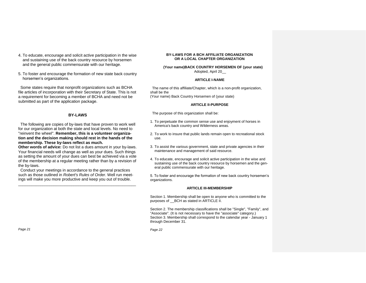- 4. To educate, encourage and solicit active participation in the wise and sustaining use of the back country resource by horsemen and the general public commensurate with our heritage.
- 5. To foster and encourage the formation of new state back country horsemen's organizations.

 Some states require that nonprofit organizations such as BCHA file articles of incorporation with their Secretary of State. This is not a requirement for becoming a member of BCHA and need not be submitted as part of the application package.

# **BY-LAWS**

The following are copies of by-laws that have proven to work well for our organization at both the state and local levels. No need to "reinvent the wheel". **Remember, this is a volunteer organization and the decision making should rest in the hands of the membership. These by-laws reflect as much.**

**Other words of advice:** Do not list a dues amount in your by-laws. Your financial needs will change as well as your dues. Such things as setting the amount of your dues can best be achieved via a vote of the membership at a regular meeting rather than by a revision of the by-laws.

 Conduct your meetings in accordance to the general practices such as those outlined in *Robert's Rules of Order.* Well run meetings will make you more productive and keep you out of trouble.

\_\_\_\_\_\_\_\_\_\_\_\_\_\_\_\_\_\_\_\_\_\_\_\_\_\_\_\_\_\_\_\_\_\_\_\_\_\_\_\_\_\_\_\_\_\_\_\_\_\_\_\_\_

#### **BY-LAWS FOR A BCH AFFILIATE ORGANIZATION OR A LOCAL CHAPTER ORGANIZATION**

 **(Your name)BACK COUNTRY HORSEMEN OF (your state)** Adopted, April 20\_\_

#### **ARTICLE I-NAME**

 The name of this affiliate/Chapter, which is a non-profit organization, shall be the (Your name) Back Country Horsemen of (your state)

#### **ARTICLE II-PURPOSE**

The purpose of this organization shall be:

- 1. To perpetuate the common sense use and enjoyment of horses in America's back country and Wilderness areas.
- 2. To work to insure that public lands remain open to recreational stock use.
- 3. To assist the various government, state and private agencies in their maintenance and management of said resource.
- 4. To educate, encourage and solicit active participation in the wise and sustaining use of the back country resource by horsemen and the general public commensurate with our heritage.

5. To foster and encourage the formation of new back country horsemen's organizations.

# **ARTICLE III-MEMBERSHIP**

Section 1. Membership shall be open to anyone who is committed to the purposes of \_\_BCH as stated in ARTICLE II.

Section 2. The membership classifications shall be "Single", "Family", and "Associate". (It is not necessary to have the "associate" category.) Section 3. Membership shall correspond to the calendar year - January 1 through December 31.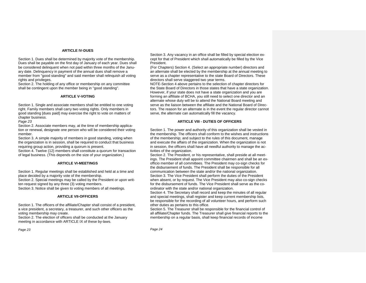# **ARTICLE IV-DUES**

Section 1. Dues shall be determined by majority vote of the membership. Dues shall be payable on the first day of January of each year. Dues shall be considered delinquent when not paid within three months of the January date. Delinquency in payment of the annual dues shall remove a member from "good standing" and said member shall relinquish all voting rights and privileges.

Section 2. The holding of any office or membership on any committee shall be contingent upon the member being in "good standing".

#### **ARTICLE V-VOTING**

Section 1. Single and associate members shall be entitled to one voting right. Family members shall carry two voting rights. Only members in good standing [dues paid] may exercise the right to vote on matters of chapter business.

*Page 23*

Section 2. Associate members may, at the time of membership application or renewal, designate one person who will be considered their voting member.

Section 3. A simple majority of members in good standing, voting when the organization is in session, shall be required to conduct that business requiring group action, providing a quorum is present. Section 4. Twelve (12) members shall constitute a quorum for transaction

of legal business. (This depends on the size of your organization.)

#### **ARTICLE VI-MEETINGS**

Section 1. Regular meetings shall be established and held at a time and place decided by a majority vote of the membership. Section 2. Special meetings may be called by the President or upon written request signed by any three (3) voting members. Section 3. Notice shall be given to voting members of all meetings.

#### **ARTICLE VII-OFFICERS**

Section 1. The officers of the affiliate/Chapter shall consist of a president, a vice president, a secretary, a treasurer, and such other officers as the voting membership may create.

Section 2. The election of officers shall be conducted at the January meeting in accordance with ARTICLE IX of these by-laws.

Section 3. Any vacancy in an office shall be filled by special election except for that of President which shall automatically be filled by the Vice President.

(For Chapters) Section 4. (Select an appropriate number) directors and an alternate shall be elected by the membership at the annual meeting to serve as a chapter representative to the state Board of Directors. These directors shall serve staggered two year terms.

NOTE-Section 4 above pertains to the selection of chapter directors for the State Board of Directors in those states that have a state organization. However, if your state does not have a state organization and you are forming an affiliate of BCHA, you still need to select one director and an alternate whose duty will be to attend the National Board meeting and serve as the liaison between the affiliate and the National Board of Directors. The reason for an alternate is in the event the regular director cannot serve, the alternate can automatically fill the vacancy.

### **ARTICLE VIII - DUTIES OF OFFICERS**

Section 1. The power and authority of this organization shall be vested in the membership. The officers shall conform to the wishes and instructions of the membership; and subject to the rules of this document, manage and execute the affairs of the organization. When the organization is not in session, the officers shall have all needful authority to manage the activities of the organization.

Section 2. The President, or his representative, shall preside at all meetings. The President shall appoint committee chairmen and shall be an exofficio member of all committees. The President may co-sign checks for the disbursement of funds. The President shall be responsible for all communication between the state and/or the national organization. Section 3. The Vice President shall perform the duties of the President when absent, or by request. The Vice President may also co-sign checks for the disbursement of funds. The Vice President shall serve as the coordinator with the state and/or national organization.

Section 4. The Secretary shall record and keep the minutes of all regular and special meetings, shall register and keep current membership lists, be responsible for the recording of all volunteer hours, and perform such other duties as pertains to this office.

Section 5. The Treasurer shall be responsible for the financial control of all affiliate/Chapter funds. The Treasurer shall give financial reports to the membership on a regular basis, shall keep financial records of income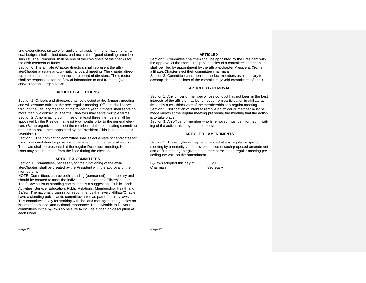and expenditures suitable for audit, shall assist in the formation of an annual budget, shall collect dues, and maintain a "good standing" membership list. The Treasurer shall be one of the co-signers of the checks for the disbursement of funds.

Section 6. The affiliate /Chapter directors shall represent the affiliate/Chapter at (state and/or) national board meeting. The chapter directors represent the chapter on the state board of directors. The director shall be responsible for the flow of information to and from the (state and/or) national organization.

#### **ARTICLE IX-ELECTIONS**

Section 1. Officers and directors shall be elected at the January meeting and will assume office at the next regular meeting. Officers shall serve through the January meeting of the following year. Officers shall serve no more than two consecutive terms. Directors may serve multiple terms. Section 2. A nominating committee of at least three members shall be appointed by the President at least two months prior to the general election. (Some organizations elect the members of the nominating committee rather than have them appointed by the President. This is done to avoid favoritism.)

Section 3. The nominating committee shall select a slate of candidates for the officers and director positions to be voted on at the general election. The slate shall be presented at the regular December meeting. Nominations may also be made from the floor during the election.

#### **ARTICLE X-COMMITTEES**

Section 1. Committees, necessary for the functioning of the affiliate/Chapter, shall be created by the President with the approval of the membership.

NOTE- Committees can be both standing (permanent) or temporary and should be created to meet the individual needs of the affiliate/Chapter. The following list of standing committees is a suggestion - Public Lands, Activities, Service, Education, Public Relations, Membership, Health and Safety. The national organization recommends that every affiliate/Chapter have a standing public lands committee listed as part of their by-laws. This committee is key for working with the land management agencies on issues of both local and national importance. It is advisable to list your committees in the by-laws so be sure to include a brief job description of each under

#### **ARTICLE X.**

Section 2. Committee chairmen shall be appointed by the President with the approval of the membership. Vacancies of a committee chairman shall be filled by appointment by the affiliate/chapter President. (Some affiliates/Chapter elect their committee chairman) Section 3. Committee chairmen shall select members as necessary to accomplish the functions of the committee. (Avoid committees of one!)

#### **ARTICLE XI - REMOVAL**

Section 1. Any officer or member whose conduct has not been in the best interests of the affiliate may be removed from participation in affiliate activities by a two-thirds vote of the membership at a regular meeting. Section 2. Notification of intent to remove an officer or member must be made known at the regular meeting preceding the meeting that the action is to take place.

Section 3. An officer or member who is removed must be informed in writing of the action taken by the membership.

#### **ARTICLE XII-AMENDMENTS**

Section 1. These by-laws may be amended at any regular or special meeting by a majority vote, provided notice of such proposed amendment and a "first reading" be given to the membership at a regular meeting preceding the vote on the amendment.

By-laws adopted this day of \_\_\_\_\_\_\_, 20\_\_ Chairman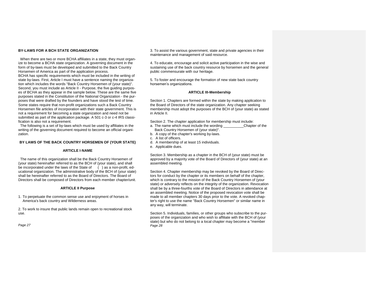#### **BY-LAWS FOR A BCH STATE ORGANIZATION**

When there are two or more BCHA affiliates in a state, they must organize to become a BCHA state organization. A governing document in the form of by-laws must be developed and submitted to the Back Country Horsemen of America as part of the application process. BCHA has specific requirements which must be included in the writing of state by-laws. First, Article I must have a sentence naming the organization which includes the words "Back Country Horsemen of (your state)". Second, you must include as Article II - Purpose, the five guiding purposes of BCHA as they appear in the sample below. These are the same five purposes stated in the Constitution of the National Organization - the purposes that were drafted by the founders and have stood the test of time. Some states require that non-profit organizations such a Back Country Horsemen file articles of incorporation with their state government. This is not a requirement for becoming a state organization and need not be submitted as part of the application package. A 501 c-3 or c-4 IRS classification is also not a requirement.

 The following is a set of by-laws which must be used by affiliates in the writing of the governing document required to become an official organization.

# **BY LAWS OF THE BACK COUNTRY HORSEMEN OF (YOUR STATE)**

#### **ARTICLE I**-**NAME**

 The name of this organization shall be the Back Country Horsemen of (your state) hereinafter referred to as the BCH of (your state), and shall be incorporated under the laws of the State of  $($  ) as a non-profit, educational organization. The administrative body of the BCH of (your state) shall be hereinafter referred to as the Board of Directors. The Board of Directors shall be composed of Directors from each member chapter/unit.

#### **ARTICLE II Purpose**

1. To perpetuate the common sense use and enjoyment of horses in America's back country and Wilderness areas.

2. To work to insure that public lands remain open to recreational stock use.

*Page 27*

3. To assist the various government, state and private agencies in their maintenance and management of said resource.

4. To educate, encourage and solicit active participation in the wise and sustaining use of the back country resource by horsemen and the general public commensurate with our heritage.

5. To foster and encourage the formation of new state back country horsemen's organizations.

#### **ARTICLE III-Membership**

Section 1. Chapters are formed within the state by making application to the Board of Directors of the state organization. Any chapter seeking membership must adopt the purposes of the BCH of (your state) as stated in Article II.

Section 2. The chapter application for membership must include:<br>a. The name which must include the wording Chapter of the

- a. The name which must include the wording Back Country Horsemen of (your state)".
- b. A copy of the chapter's working by-laws.
- c. A list of officers.
- d. A membership of at least 15 individuals.
- e. Applicable dues.

Section 3. Membership as a chapter in the BCH of (your state) must be approved by a majority vote of the Board of Directors of (your state) at an assembled meeting.

Section 4. Chapter membership may be revoked by the Board of Directors for conduct by the chapter or its members on behalf of the chapter, which is contrary to the mission of the Back Country Horsemen of (your state) or adversely reflects on the integrity of the organization. Revocation shall be by a three-fourths vote of the Board of Directors in attendance at an assembled meeting. Notice of the proposed revocation vote shall be made to all member chapters 30 days prior to the vote. A revoked chapter's right to use the name "Back Country Horsemen" or similar name in any way, will terminate.

Section 5. Individuals, families, or other groups who subscribe to the purposes of the organization and who wish to affiliate with the BCH of (your state) but who do not belong to a local chapter may become a "member *Page 28*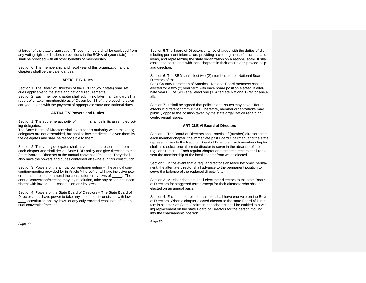at large" of the state organization. These members shall be excluded from any voting rights or leadership positions in the BCHA of (your state), but shall be provided with all other benefits of membership.

Section 6. The membership and fiscal year of this organization and all chapters shall be the calendar year.

#### **ARTICLE IV-Dues**

Section 1. The Board of Directors of the BCH of (your state) shall set dues applicable to the state and national requirements. Section 2. Each member chapter shall submit no later than January 31, a report of chapter membership as of December 31 of the preceding calendar year, along with the payment of appropriate state and national dues.

#### **ARTICLE V-Powers and Duties**

Section 1. The supreme authority of  $\qquad \qquad$  shall be in its assembled voting delegates.

The State Board of Directors shall execute this authority when the voting delegates are not assembled, but shall follow the direction given them by the delegates and shall be responsible to them.

Section 2. The voting delegates shall have equal representation from each chapter and shall decide State BOD policy and give direction to the State Board of Directors at the annual convention/meeting. They shall also have the powers and duties contained elsewhere in this constitution.

Section 3. Powers of the annual convention/meeting – The annual convention/meeting provided for in Article V hereof, shall have inclusive power to enact, repeal or amend the constitution or by-laws of \_\_\_\_\_. The annual convention/meeting may, by resolution, take any action not inconsistent with law or \_\_\_\_\_ constitution and by-laws.

Section 4. Powers of the State Board of Directors – The State Board of Directors shall have power to take any action not inconsistent with law or constitution and by-laws, or any duly enacted resolution of the annual convention/meeting.

Section 5.The Board of Directors shall be charged with the duties of distributing pertinent information, providing a clearing house for actions and ideas, and representing the state organization on a national scale. It shall assist and coordinate with local chapters in their efforts and provide help and direction.

Section 6. The SBD shall elect two (2) members to the National Board of Directors of the

Back Country Horsemen of America. National Board members shall be elected for a two (2) year term with each board position elected in alternate years. The SBD shall elect one (1) Alternate National Director annually.

Section 7. It shall be agreed that policies and issues may have different effects in different communities. Therefore, member organizations may publicly oppose the position taken by the state organization regarding controversial issues.

#### **ARTICLE VI-Board of Directors**

Section 1. The Board of Directors shall consist of (number) directors from each member chapter, the immediate past Board Chairman, and the state representatives to the National Board of Directors. Each member chapter shall also select one alternate director to serve in the absence of their regular director. Each regular chapter or alternate directors shall represent the membership of the local chapter from which elected.

Section 2. In the event that a regular director's absence becomes permanent, the alternate director shall advance to the permanent position to serve the balance of the replaced director's term.

Section 3. Member chapters shall elect their directors to the state Board of Directors for staggered terms except for their alternate who shall be elected on an annual basis.

Section 4. Each chapter elected director shall have one vote on the Board of Directors. When a chapter elected director to the state Board of Directors is selected as State Chairman, that chapter shall be entitled to a voting replacement on the state Board of Directors for the person moving into the chairmanship position.

*Page 29*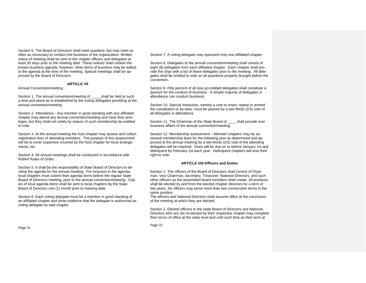Section 5. The Board of Directors shall meet quarterly, but may meet as often as necessary to conduct the business of the organization. Written notice of meeting shall be sent to the chapter officers and delegates at least 30 days prior to the meeting date. These notices shall contain the known business agenda, however, other items of business may be added to the agenda at the time of the meeting. Special meetings shall be approved by the Board of Directors.

#### **ARTICLE VII**

#### Annual Convention/meeting

Section 1. The annual convention/meeting of a shall be held at such a time and place as is established by the voting delegates presiding at the annual convention/meeting.

Section 2. Attendance - Any member in good standing with any affiliated chapter may attend any annual convention/meeting and have floor privileges, but they shall not solely by reason of such membership be entitled to vote.

Section 3. At the annual meeting the host chapter may assess and collect registration fees of attending members. The purpose of this assessment will be to cover expenses incurred by the host chapter for local arrangements, etc.

Section 4. All annual meetings shall be conducted in accordance with Robert Rules of Order.

Section 5. It shall be the responsibility of State Board of Directors to develop the agenda for the annual meeting. For inclusion in the agenda, local chapters must submit their agenda items before the regular State Board of Directors meeting, prior to the annual convention/meeting. Copies of local agenda items shall be sent to local chapters by the State Board of Directors one (1) month prior to meeting date.

Section 6. Each voting delegate must be a member in good standing of an affiliated chapter and show evidence that the delegate is authorized as voting delegate by said chapter.

Section 7. A voting delegate may represent only one affiliated chapter.

Section 8. Delegates to the annual convention/meeting shall consist of eight (8) delegates from each affiliated chapter. Each chapter shall provide the chair with a list of these delegates prior to the meeting. All delegates shall be entitled to vote on all questions properly brought before the convention.

Section 9. Fifty percent of all duly accredited delegates shall constitute a quorum for the conduct of business. A simple majority of delegates in attendance can conduct business.

Section 10. Special measures, namely a vote to enact, repeal or amend the constitution or by-laws, must be passed by a two-thirds (2/3) vote of all delegates in attendance.

Section 11. The Chairman of the State Board of \_\_\_\_ shall preside over business affairs of the annual convention/meeting.

Section 12. Membership assessment – Member chapters may be assessed membership dues for the following year as determined and approved at the annual meeting by a two-thirds (2/3) vote of the attending delegates will be required. Dues will be due on or before January 1st and delinquent by February 1st each year. Delinquent chapters will lose their right to vote.

#### **ARTICLE VIII-Officers and Duties**

Section 1. The officers of the Board of Directors shall consist of Chairman, Vice Chairman, Secretary, Treasurer, National Directors, and such other officers as the assembled board members shall create. All positions shall be elected by and from the elected chapter directors for a term of two years. No officers may serve more than two consecutive terms in the same position.

The officers and National Directors shall assume office at the conclusion of the meeting at which they are elected.

Section 2. Elected officers to the state Board of Directors and National Directors who are not re-elected by their respective chapter may complete their terms of office at the state level and until such time as their term at

*Page 32*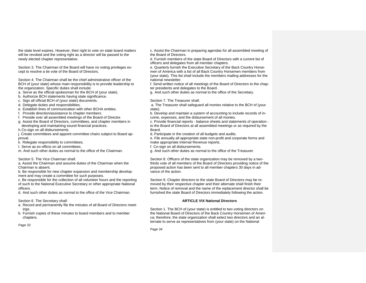the state level expires. However, their right to vote on state board matters will be revoked and the voting right as a director will be passed to the newly elected chapter representative.

Section 3. The Chairman of the Board will have no voting privileges except to resolve a tie vote of the Board of Directors.

Section 4. The Chairman shall be the chief administrative officer of the BCH of (your state) whose main responsibility is to provide leadership to the organization. Specific duties shall include:

a. Serve as the official spokesman for the BCH of (your state).

b. Authorize BCH statements having state significance.

c. Sign all official BCH of (your state) documents.

d. Delegate duties and responsibilities.

e. Establish lines of communication with other BCHA entities.

f. Provide direction/assistance to chapter members.

f. Preside over all assembled meetings of the Board of Director.

g. Assist the Board of Directors, committees, and chapter members in developing and maintaining sound financial practices.

h.Co-sign on all disbursements.

j. Create committees and appoint committee chairs subject to Board approval.

k. Relegate responsibility to committees.

I. Serve as ex-officio on all committees.

m. And such other duties as normal to the office of the Chairman.

Section 5. The Vice Chairman shall:

a. Assist the Chairman and assume duties of the Chairman when the Chairman is absent.

b. Be responsible for new chapter expansion and membership development and may create a committee for such purposes.

c. Be responsible for the collection of all volunteer hours and the reporting of such to the National Executive Secretary or other appropriate National officers.

d. And such other duties as normal to the office of the Vice Chairman.

Section 6. The Secretary shall:

a. Record and permanently file the minutes of all Board of Directors meetings.

b. Furnish copies of these minutes to board members and to member chapters.

*Page 33*

c. Assist the Chairman in preparing agendas for all assembled meeting of the Board of Directors.

d. Furnish members of the state Board of Directors with a current list of officers and delegates from all member chapters.

e. Quarterly furnish the Executive Secretary of the Back Country Horsemen of America with a list of all Back Country Horsemen members from (your state). This list shall include the members mailing addresses for the national newsletter.

f. Send written notice of all meetings of the Board of Directors to the chapter presidents and delegates to the Board.

g. And such other duties as normal to the office of the Secretary.

Section 7. The Treasurer shall:

a. The Treasurer shall safeguard all monies relative to the BCH of (your state).

b. Develop and maintain a system of accounting to include records of income, expenses, and the disbursement of all monies.

c. Provide financial reports - balance sheets and statements of operation to the Board of Directors at all assembled meetings or as required by the Board.

d. Participate in the creation of all budgets and audits.

e. File annually all appropriate state non-profit and corporate forms and make appropriate Internal Revenue reports.

f. Co-sign on all disbursements.

g. And such other duties as normal to the office of the Treasurer.

Section 8. Officers of the state organization may be removed by a twothirds vote of all members of the Board of Directors providing notice of the proposed action has been sent to all member chapters 30 days in advance of the action.

Section 9. Chapter directors to the state Board of Directors may be removed by their respective chapter and their alternate shall finish their term. Notice of removal and the name of the replacement director shall be furnished the state Board of Directors immediately following the action.

# **ARTICLE VIX National Directors**

Section 1. The BCH of (your state) is entitled to two voting directors on the National Board of Directors of the Back Country Horsemen of America; therefore, the state organization shall select two directors and an alternate to serve as representatives from (your state) on the National